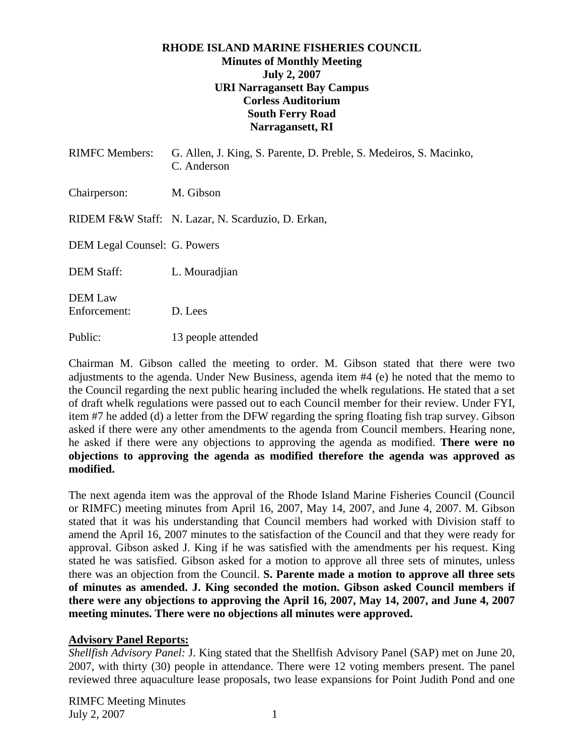#### **RHODE ISLAND MARINE FISHERIES COUNCIL Minutes of Monthly Meeting July 2, 2007 URI Narragansett Bay Campus Corless Auditorium South Ferry Road Narragansett, RI**

| <b>RIMFC</b> Members:          | G. Allen, J. King, S. Parente, D. Preble, S. Medeiros, S. Macinko,<br>C. Anderson |
|--------------------------------|-----------------------------------------------------------------------------------|
| Chairperson:                   | M. Gibson                                                                         |
|                                | RIDEM F&W Staff: N. Lazar, N. Scarduzio, D. Erkan,                                |
| DEM Legal Counsel: G. Powers   |                                                                                   |
| <b>DEM Staff:</b>              | L. Mouradjian                                                                     |
| <b>DEM</b> Law<br>Enforcement: | D. Lees                                                                           |

Chairman M. Gibson called the meeting to order. M. Gibson stated that there were two adjustments to the agenda. Under New Business, agenda item #4 (e) he noted that the memo to the Council regarding the next public hearing included the whelk regulations. He stated that a set of draft whelk regulations were passed out to each Council member for their review. Under FYI, item #7 he added (d) a letter from the DFW regarding the spring floating fish trap survey. Gibson asked if there were any other amendments to the agenda from Council members. Hearing none, he asked if there were any objections to approving the agenda as modified. **There were no objections to approving the agenda as modified therefore the agenda was approved as modified.** 

The next agenda item was the approval of the Rhode Island Marine Fisheries Council (Council or RIMFC) meeting minutes from April 16, 2007, May 14, 2007, and June 4, 2007. M. Gibson stated that it was his understanding that Council members had worked with Division staff to amend the April 16, 2007 minutes to the satisfaction of the Council and that they were ready for approval. Gibson asked J. King if he was satisfied with the amendments per his request. King stated he was satisfied. Gibson asked for a motion to approve all three sets of minutes, unless there was an objection from the Council. **S. Parente made a motion to approve all three sets of minutes as amended. J. King seconded the motion. Gibson asked Council members if there were any objections to approving the April 16, 2007, May 14, 2007, and June 4, 2007 meeting minutes. There were no objections all minutes were approved.** 

## **Advisory Panel Reports:**

Public: 13 people attended

*Shellfish Advisory Panel:* J. King stated that the Shellfish Advisory Panel (SAP) met on June 20, 2007, with thirty (30) people in attendance. There were 12 voting members present. The panel reviewed three aquaculture lease proposals, two lease expansions for Point Judith Pond and one

RIMFC Meeting Minutes July 2, 2007 1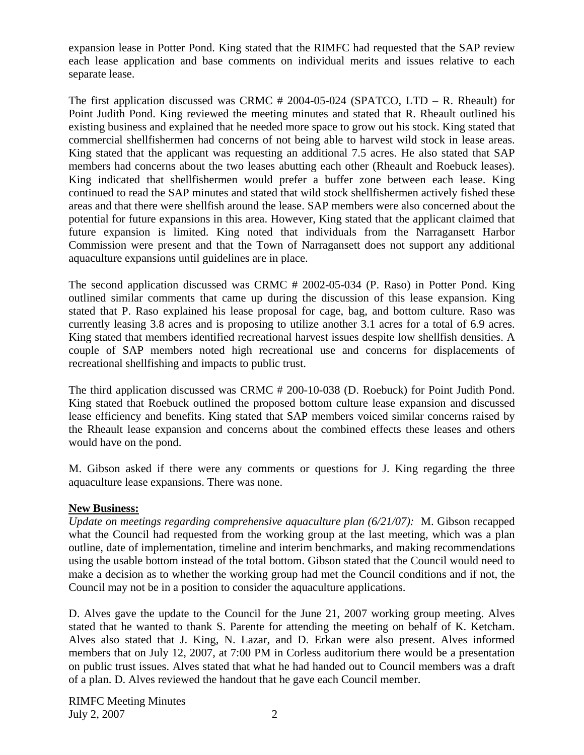expansion lease in Potter Pond. King stated that the RIMFC had requested that the SAP review each lease application and base comments on individual merits and issues relative to each separate lease.

The first application discussed was CRMC # 2004-05-024 (SPATCO, LTD – R. Rheault) for Point Judith Pond. King reviewed the meeting minutes and stated that R. Rheault outlined his existing business and explained that he needed more space to grow out his stock. King stated that commercial shellfishermen had concerns of not being able to harvest wild stock in lease areas. King stated that the applicant was requesting an additional 7.5 acres. He also stated that SAP members had concerns about the two leases abutting each other (Rheault and Roebuck leases). King indicated that shellfishermen would prefer a buffer zone between each lease. King continued to read the SAP minutes and stated that wild stock shellfishermen actively fished these areas and that there were shellfish around the lease. SAP members were also concerned about the potential for future expansions in this area. However, King stated that the applicant claimed that future expansion is limited. King noted that individuals from the Narragansett Harbor Commission were present and that the Town of Narragansett does not support any additional aquaculture expansions until guidelines are in place.

The second application discussed was CRMC # 2002-05-034 (P. Raso) in Potter Pond. King outlined similar comments that came up during the discussion of this lease expansion. King stated that P. Raso explained his lease proposal for cage, bag, and bottom culture. Raso was currently leasing 3.8 acres and is proposing to utilize another 3.1 acres for a total of 6.9 acres. King stated that members identified recreational harvest issues despite low shellfish densities. A couple of SAP members noted high recreational use and concerns for displacements of recreational shellfishing and impacts to public trust.

The third application discussed was CRMC # 200-10-038 (D. Roebuck) for Point Judith Pond. King stated that Roebuck outlined the proposed bottom culture lease expansion and discussed lease efficiency and benefits. King stated that SAP members voiced similar concerns raised by the Rheault lease expansion and concerns about the combined effects these leases and others would have on the pond.

M. Gibson asked if there were any comments or questions for J. King regarding the three aquaculture lease expansions. There was none.

## **New Business:**

*Update on meetings regarding comprehensive aquaculture plan (6/21/07):* M. Gibson recapped what the Council had requested from the working group at the last meeting, which was a plan outline, date of implementation, timeline and interim benchmarks, and making recommendations using the usable bottom instead of the total bottom. Gibson stated that the Council would need to make a decision as to whether the working group had met the Council conditions and if not, the Council may not be in a position to consider the aquaculture applications.

D. Alves gave the update to the Council for the June 21, 2007 working group meeting. Alves stated that he wanted to thank S. Parente for attending the meeting on behalf of K. Ketcham. Alves also stated that J. King, N. Lazar, and D. Erkan were also present. Alves informed members that on July 12, 2007, at 7:00 PM in Corless auditorium there would be a presentation on public trust issues. Alves stated that what he had handed out to Council members was a draft of a plan. D. Alves reviewed the handout that he gave each Council member.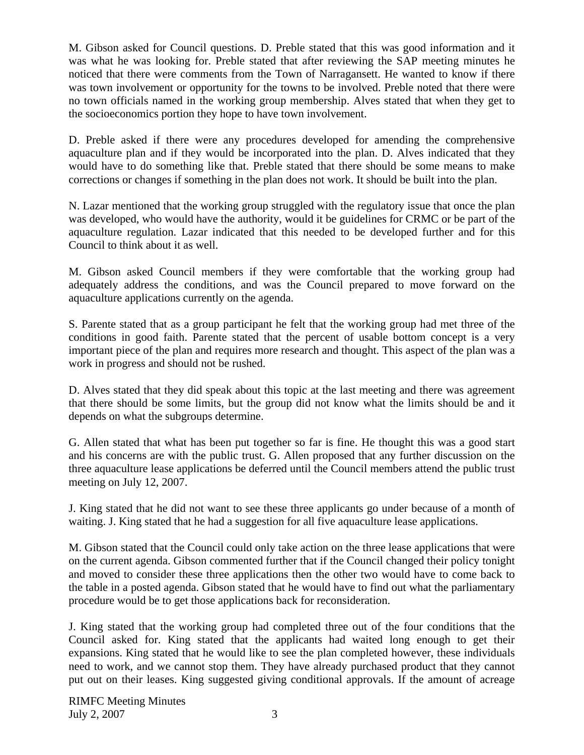M. Gibson asked for Council questions. D. Preble stated that this was good information and it was what he was looking for. Preble stated that after reviewing the SAP meeting minutes he noticed that there were comments from the Town of Narragansett. He wanted to know if there was town involvement or opportunity for the towns to be involved. Preble noted that there were no town officials named in the working group membership. Alves stated that when they get to the socioeconomics portion they hope to have town involvement.

D. Preble asked if there were any procedures developed for amending the comprehensive aquaculture plan and if they would be incorporated into the plan. D. Alves indicated that they would have to do something like that. Preble stated that there should be some means to make corrections or changes if something in the plan does not work. It should be built into the plan.

N. Lazar mentioned that the working group struggled with the regulatory issue that once the plan was developed, who would have the authority, would it be guidelines for CRMC or be part of the aquaculture regulation. Lazar indicated that this needed to be developed further and for this Council to think about it as well.

M. Gibson asked Council members if they were comfortable that the working group had adequately address the conditions, and was the Council prepared to move forward on the aquaculture applications currently on the agenda.

S. Parente stated that as a group participant he felt that the working group had met three of the conditions in good faith. Parente stated that the percent of usable bottom concept is a very important piece of the plan and requires more research and thought. This aspect of the plan was a work in progress and should not be rushed.

D. Alves stated that they did speak about this topic at the last meeting and there was agreement that there should be some limits, but the group did not know what the limits should be and it depends on what the subgroups determine.

G. Allen stated that what has been put together so far is fine. He thought this was a good start and his concerns are with the public trust. G. Allen proposed that any further discussion on the three aquaculture lease applications be deferred until the Council members attend the public trust meeting on July 12, 2007.

J. King stated that he did not want to see these three applicants go under because of a month of waiting. J. King stated that he had a suggestion for all five aquaculture lease applications.

M. Gibson stated that the Council could only take action on the three lease applications that were on the current agenda. Gibson commented further that if the Council changed their policy tonight and moved to consider these three applications then the other two would have to come back to the table in a posted agenda. Gibson stated that he would have to find out what the parliamentary procedure would be to get those applications back for reconsideration.

J. King stated that the working group had completed three out of the four conditions that the Council asked for. King stated that the applicants had waited long enough to get their expansions. King stated that he would like to see the plan completed however, these individuals need to work, and we cannot stop them. They have already purchased product that they cannot put out on their leases. King suggested giving conditional approvals. If the amount of acreage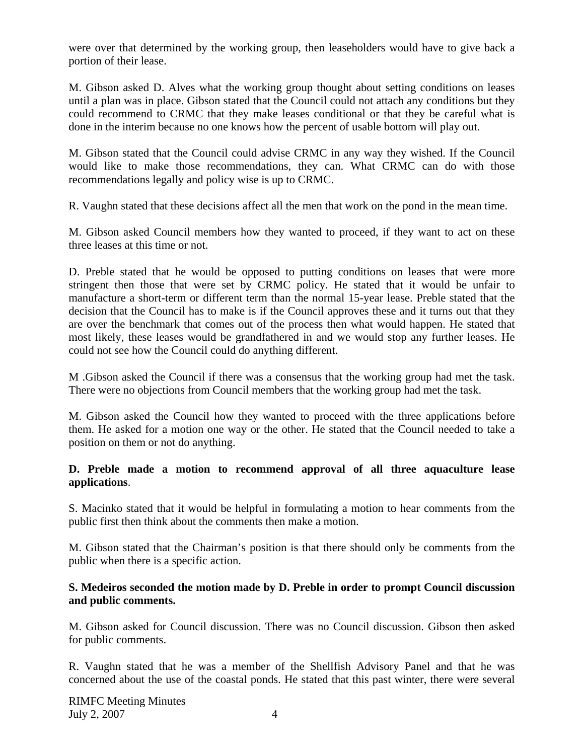were over that determined by the working group, then leaseholders would have to give back a portion of their lease.

M. Gibson asked D. Alves what the working group thought about setting conditions on leases until a plan was in place. Gibson stated that the Council could not attach any conditions but they could recommend to CRMC that they make leases conditional or that they be careful what is done in the interim because no one knows how the percent of usable bottom will play out.

M. Gibson stated that the Council could advise CRMC in any way they wished. If the Council would like to make those recommendations, they can. What CRMC can do with those recommendations legally and policy wise is up to CRMC.

R. Vaughn stated that these decisions affect all the men that work on the pond in the mean time.

M. Gibson asked Council members how they wanted to proceed, if they want to act on these three leases at this time or not.

D. Preble stated that he would be opposed to putting conditions on leases that were more stringent then those that were set by CRMC policy. He stated that it would be unfair to manufacture a short-term or different term than the normal 15-year lease. Preble stated that the decision that the Council has to make is if the Council approves these and it turns out that they are over the benchmark that comes out of the process then what would happen. He stated that most likely, these leases would be grandfathered in and we would stop any further leases. He could not see how the Council could do anything different.

M .Gibson asked the Council if there was a consensus that the working group had met the task. There were no objections from Council members that the working group had met the task.

M. Gibson asked the Council how they wanted to proceed with the three applications before them. He asked for a motion one way or the other. He stated that the Council needed to take a position on them or not do anything.

## **D. Preble made a motion to recommend approval of all three aquaculture lease applications**.

S. Macinko stated that it would be helpful in formulating a motion to hear comments from the public first then think about the comments then make a motion.

M. Gibson stated that the Chairman's position is that there should only be comments from the public when there is a specific action.

#### **S. Medeiros seconded the motion made by D. Preble in order to prompt Council discussion and public comments.**

M. Gibson asked for Council discussion. There was no Council discussion. Gibson then asked for public comments.

R. Vaughn stated that he was a member of the Shellfish Advisory Panel and that he was concerned about the use of the coastal ponds. He stated that this past winter, there were several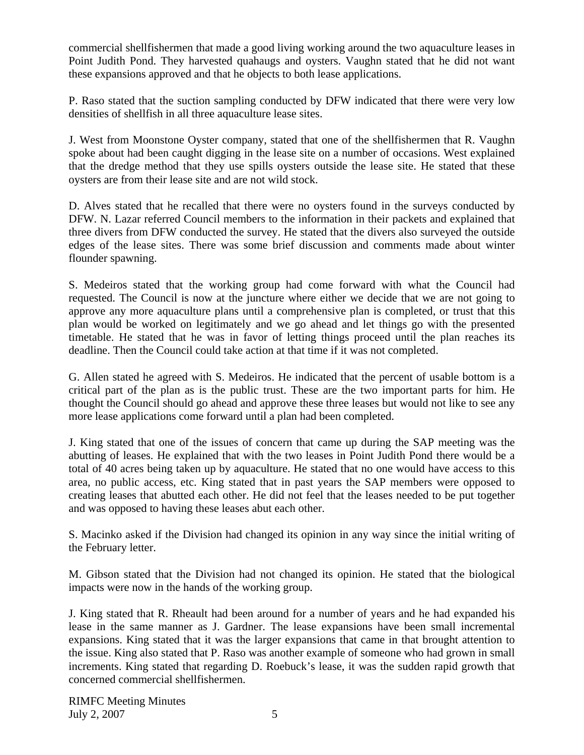commercial shellfishermen that made a good living working around the two aquaculture leases in Point Judith Pond. They harvested quahaugs and oysters. Vaughn stated that he did not want these expansions approved and that he objects to both lease applications.

P. Raso stated that the suction sampling conducted by DFW indicated that there were very low densities of shellfish in all three aquaculture lease sites.

J. West from Moonstone Oyster company, stated that one of the shellfishermen that R. Vaughn spoke about had been caught digging in the lease site on a number of occasions. West explained that the dredge method that they use spills oysters outside the lease site. He stated that these oysters are from their lease site and are not wild stock.

D. Alves stated that he recalled that there were no oysters found in the surveys conducted by DFW. N. Lazar referred Council members to the information in their packets and explained that three divers from DFW conducted the survey. He stated that the divers also surveyed the outside edges of the lease sites. There was some brief discussion and comments made about winter flounder spawning.

S. Medeiros stated that the working group had come forward with what the Council had requested. The Council is now at the juncture where either we decide that we are not going to approve any more aquaculture plans until a comprehensive plan is completed, or trust that this plan would be worked on legitimately and we go ahead and let things go with the presented timetable. He stated that he was in favor of letting things proceed until the plan reaches its deadline. Then the Council could take action at that time if it was not completed.

G. Allen stated he agreed with S. Medeiros. He indicated that the percent of usable bottom is a critical part of the plan as is the public trust. These are the two important parts for him. He thought the Council should go ahead and approve these three leases but would not like to see any more lease applications come forward until a plan had been completed.

J. King stated that one of the issues of concern that came up during the SAP meeting was the abutting of leases. He explained that with the two leases in Point Judith Pond there would be a total of 40 acres being taken up by aquaculture. He stated that no one would have access to this area, no public access, etc. King stated that in past years the SAP members were opposed to creating leases that abutted each other. He did not feel that the leases needed to be put together and was opposed to having these leases abut each other.

S. Macinko asked if the Division had changed its opinion in any way since the initial writing of the February letter.

M. Gibson stated that the Division had not changed its opinion. He stated that the biological impacts were now in the hands of the working group.

J. King stated that R. Rheault had been around for a number of years and he had expanded his lease in the same manner as J. Gardner. The lease expansions have been small incremental expansions. King stated that it was the larger expansions that came in that brought attention to the issue. King also stated that P. Raso was another example of someone who had grown in small increments. King stated that regarding D. Roebuck's lease, it was the sudden rapid growth that concerned commercial shellfishermen.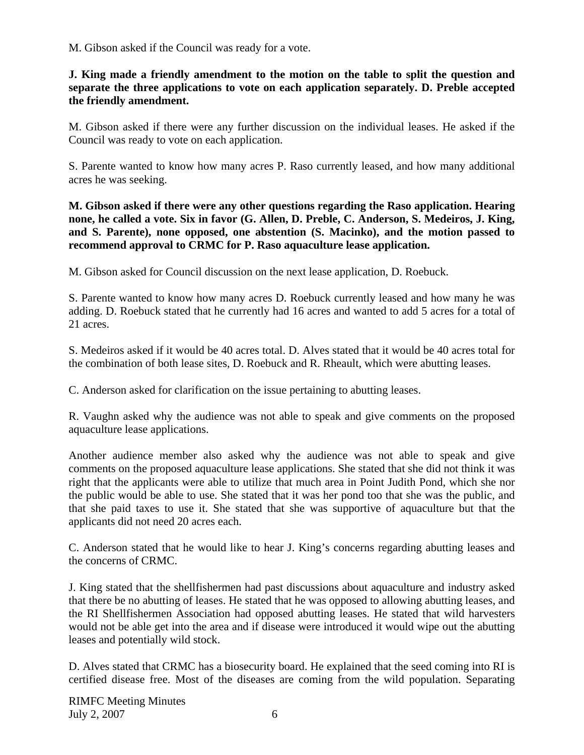M. Gibson asked if the Council was ready for a vote.

## **J. King made a friendly amendment to the motion on the table to split the question and separate the three applications to vote on each application separately. D. Preble accepted the friendly amendment.**

M. Gibson asked if there were any further discussion on the individual leases. He asked if the Council was ready to vote on each application.

S. Parente wanted to know how many acres P. Raso currently leased, and how many additional acres he was seeking.

**M. Gibson asked if there were any other questions regarding the Raso application. Hearing none, he called a vote. Six in favor (G. Allen, D. Preble, C. Anderson, S. Medeiros, J. King, and S. Parente), none opposed, one abstention (S. Macinko), and the motion passed to recommend approval to CRMC for P. Raso aquaculture lease application.** 

M. Gibson asked for Council discussion on the next lease application, D. Roebuck.

S. Parente wanted to know how many acres D. Roebuck currently leased and how many he was adding. D. Roebuck stated that he currently had 16 acres and wanted to add 5 acres for a total of 21 acres.

S. Medeiros asked if it would be 40 acres total. D. Alves stated that it would be 40 acres total for the combination of both lease sites, D. Roebuck and R. Rheault, which were abutting leases.

C. Anderson asked for clarification on the issue pertaining to abutting leases.

R. Vaughn asked why the audience was not able to speak and give comments on the proposed aquaculture lease applications.

Another audience member also asked why the audience was not able to speak and give comments on the proposed aquaculture lease applications. She stated that she did not think it was right that the applicants were able to utilize that much area in Point Judith Pond, which she nor the public would be able to use. She stated that it was her pond too that she was the public, and that she paid taxes to use it. She stated that she was supportive of aquaculture but that the applicants did not need 20 acres each.

C. Anderson stated that he would like to hear J. King's concerns regarding abutting leases and the concerns of CRMC.

J. King stated that the shellfishermen had past discussions about aquaculture and industry asked that there be no abutting of leases. He stated that he was opposed to allowing abutting leases, and the RI Shellfishermen Association had opposed abutting leases. He stated that wild harvesters would not be able get into the area and if disease were introduced it would wipe out the abutting leases and potentially wild stock.

D. Alves stated that CRMC has a biosecurity board. He explained that the seed coming into RI is certified disease free. Most of the diseases are coming from the wild population. Separating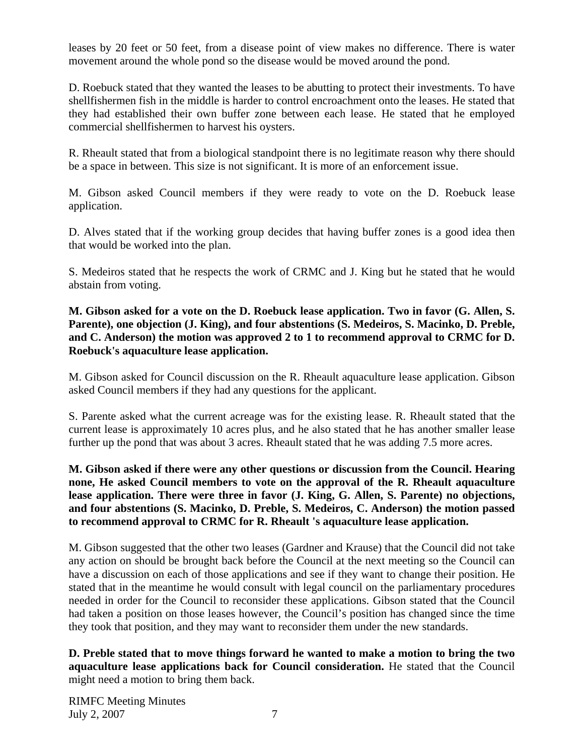leases by 20 feet or 50 feet, from a disease point of view makes no difference. There is water movement around the whole pond so the disease would be moved around the pond.

D. Roebuck stated that they wanted the leases to be abutting to protect their investments. To have shellfishermen fish in the middle is harder to control encroachment onto the leases. He stated that they had established their own buffer zone between each lease. He stated that he employed commercial shellfishermen to harvest his oysters.

R. Rheault stated that from a biological standpoint there is no legitimate reason why there should be a space in between. This size is not significant. It is more of an enforcement issue.

M. Gibson asked Council members if they were ready to vote on the D. Roebuck lease application.

D. Alves stated that if the working group decides that having buffer zones is a good idea then that would be worked into the plan.

S. Medeiros stated that he respects the work of CRMC and J. King but he stated that he would abstain from voting.

**M. Gibson asked for a vote on the D. Roebuck lease application. Two in favor (G. Allen, S. Parente), one objection (J. King), and four abstentions (S. Medeiros, S. Macinko, D. Preble, and C. Anderson) the motion was approved 2 to 1 to recommend approval to CRMC for D. Roebuck's aquaculture lease application.** 

M. Gibson asked for Council discussion on the R. Rheault aquaculture lease application. Gibson asked Council members if they had any questions for the applicant.

S. Parente asked what the current acreage was for the existing lease. R. Rheault stated that the current lease is approximately 10 acres plus, and he also stated that he has another smaller lease further up the pond that was about 3 acres. Rheault stated that he was adding 7.5 more acres.

**M. Gibson asked if there were any other questions or discussion from the Council. Hearing none, He asked Council members to vote on the approval of the R. Rheault aquaculture lease application. There were three in favor (J. King, G. Allen, S. Parente) no objections, and four abstentions (S. Macinko, D. Preble, S. Medeiros, C. Anderson) the motion passed to recommend approval to CRMC for R. Rheault 's aquaculture lease application.** 

M. Gibson suggested that the other two leases (Gardner and Krause) that the Council did not take any action on should be brought back before the Council at the next meeting so the Council can have a discussion on each of those applications and see if they want to change their position. He stated that in the meantime he would consult with legal council on the parliamentary procedures needed in order for the Council to reconsider these applications. Gibson stated that the Council had taken a position on those leases however, the Council's position has changed since the time they took that position, and they may want to reconsider them under the new standards.

**D. Preble stated that to move things forward he wanted to make a motion to bring the two aquaculture lease applications back for Council consideration.** He stated that the Council might need a motion to bring them back.

RIMFC Meeting Minutes July 2, 2007 7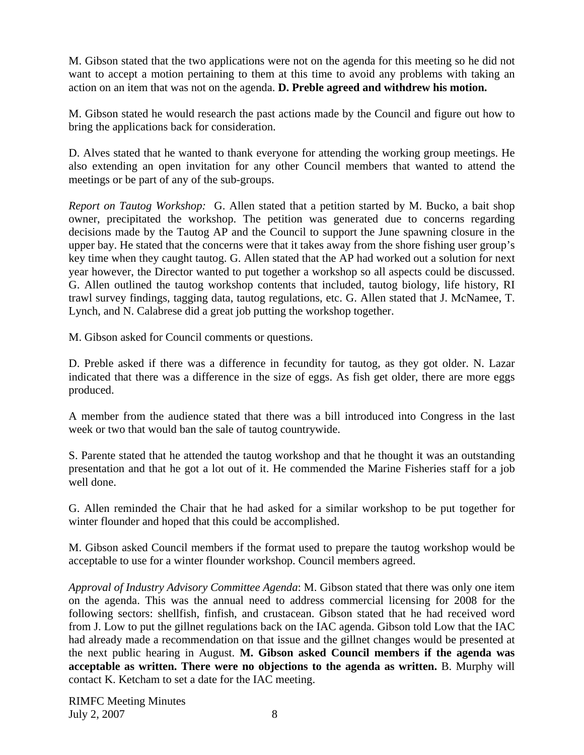M. Gibson stated that the two applications were not on the agenda for this meeting so he did not want to accept a motion pertaining to them at this time to avoid any problems with taking an action on an item that was not on the agenda. **D. Preble agreed and withdrew his motion.**

M. Gibson stated he would research the past actions made by the Council and figure out how to bring the applications back for consideration.

D. Alves stated that he wanted to thank everyone for attending the working group meetings. He also extending an open invitation for any other Council members that wanted to attend the meetings or be part of any of the sub-groups.

*Report on Tautog Workshop:* G. Allen stated that a petition started by M. Bucko, a bait shop owner, precipitated the workshop. The petition was generated due to concerns regarding decisions made by the Tautog AP and the Council to support the June spawning closure in the upper bay. He stated that the concerns were that it takes away from the shore fishing user group's key time when they caught tautog. G. Allen stated that the AP had worked out a solution for next year however, the Director wanted to put together a workshop so all aspects could be discussed. G. Allen outlined the tautog workshop contents that included, tautog biology, life history, RI trawl survey findings, tagging data, tautog regulations, etc. G. Allen stated that J. McNamee, T. Lynch, and N. Calabrese did a great job putting the workshop together.

M. Gibson asked for Council comments or questions.

D. Preble asked if there was a difference in fecundity for tautog, as they got older. N. Lazar indicated that there was a difference in the size of eggs. As fish get older, there are more eggs produced.

A member from the audience stated that there was a bill introduced into Congress in the last week or two that would ban the sale of tautog countrywide.

S. Parente stated that he attended the tautog workshop and that he thought it was an outstanding presentation and that he got a lot out of it. He commended the Marine Fisheries staff for a job well done.

G. Allen reminded the Chair that he had asked for a similar workshop to be put together for winter flounder and hoped that this could be accomplished.

M. Gibson asked Council members if the format used to prepare the tautog workshop would be acceptable to use for a winter flounder workshop. Council members agreed.

*Approval of Industry Advisory Committee Agenda*: M. Gibson stated that there was only one item on the agenda. This was the annual need to address commercial licensing for 2008 for the following sectors: shellfish, finfish, and crustacean. Gibson stated that he had received word from J. Low to put the gillnet regulations back on the IAC agenda. Gibson told Low that the IAC had already made a recommendation on that issue and the gillnet changes would be presented at the next public hearing in August. **M. Gibson asked Council members if the agenda was acceptable as written. There were no objections to the agenda as written.** B. Murphy will contact K. Ketcham to set a date for the IAC meeting.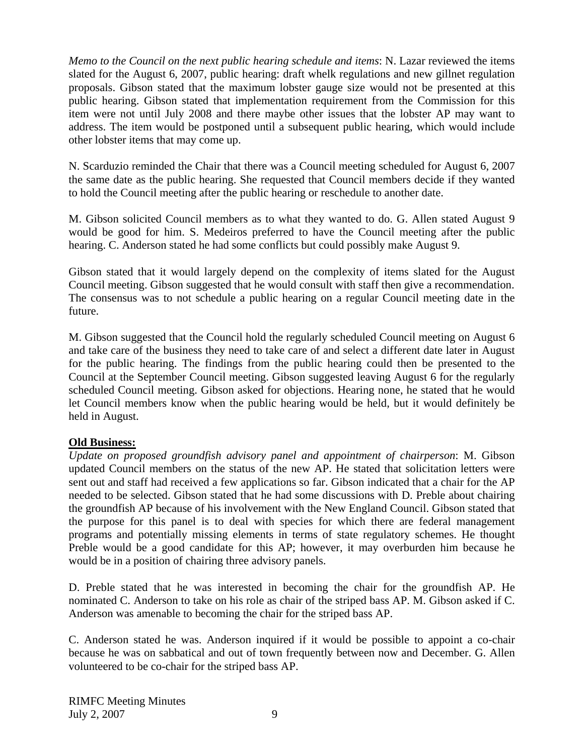*Memo to the Council on the next public hearing schedule and items*: N. Lazar reviewed the items slated for the August 6, 2007, public hearing: draft whelk regulations and new gillnet regulation proposals. Gibson stated that the maximum lobster gauge size would not be presented at this public hearing. Gibson stated that implementation requirement from the Commission for this item were not until July 2008 and there maybe other issues that the lobster AP may want to address. The item would be postponed until a subsequent public hearing, which would include other lobster items that may come up.

N. Scarduzio reminded the Chair that there was a Council meeting scheduled for August 6, 2007 the same date as the public hearing. She requested that Council members decide if they wanted to hold the Council meeting after the public hearing or reschedule to another date.

M. Gibson solicited Council members as to what they wanted to do. G. Allen stated August 9 would be good for him. S. Medeiros preferred to have the Council meeting after the public hearing. C. Anderson stated he had some conflicts but could possibly make August 9.

Gibson stated that it would largely depend on the complexity of items slated for the August Council meeting. Gibson suggested that he would consult with staff then give a recommendation. The consensus was to not schedule a public hearing on a regular Council meeting date in the future.

M. Gibson suggested that the Council hold the regularly scheduled Council meeting on August 6 and take care of the business they need to take care of and select a different date later in August for the public hearing. The findings from the public hearing could then be presented to the Council at the September Council meeting. Gibson suggested leaving August 6 for the regularly scheduled Council meeting. Gibson asked for objections. Hearing none, he stated that he would let Council members know when the public hearing would be held, but it would definitely be held in August.

## **Old Business:**

*Update on proposed groundfish advisory panel and appointment of chairperson*: M. Gibson updated Council members on the status of the new AP. He stated that solicitation letters were sent out and staff had received a few applications so far. Gibson indicated that a chair for the AP needed to be selected. Gibson stated that he had some discussions with D. Preble about chairing the groundfish AP because of his involvement with the New England Council. Gibson stated that the purpose for this panel is to deal with species for which there are federal management programs and potentially missing elements in terms of state regulatory schemes. He thought Preble would be a good candidate for this AP; however, it may overburden him because he would be in a position of chairing three advisory panels.

D. Preble stated that he was interested in becoming the chair for the groundfish AP. He nominated C. Anderson to take on his role as chair of the striped bass AP. M. Gibson asked if C. Anderson was amenable to becoming the chair for the striped bass AP.

C. Anderson stated he was. Anderson inquired if it would be possible to appoint a co-chair because he was on sabbatical and out of town frequently between now and December. G. Allen volunteered to be co-chair for the striped bass AP.